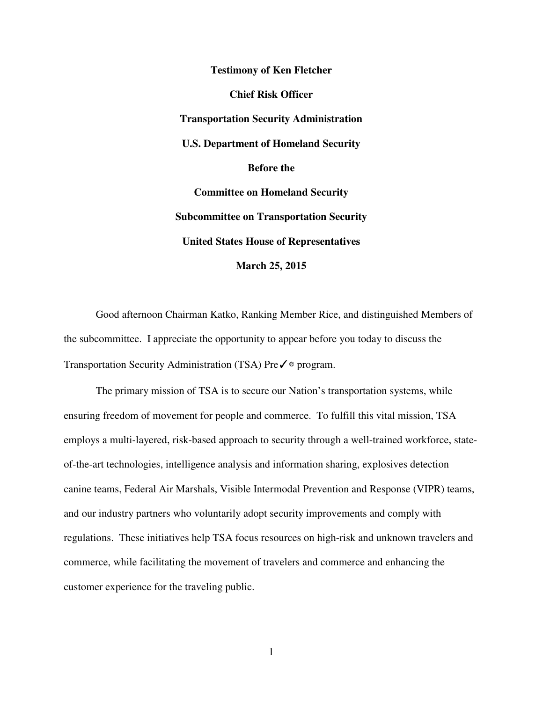**Testimony of Ken Fletcher Chief Risk Officer Transportation Security Administration U.S. Department of Homeland Security Before the Committee on Homeland Security Subcommittee on Transportation Security United States House of Representatives March 25, 2015** 

Good afternoon Chairman Katko, Ranking Member Rice, and distinguished Members of the subcommittee. I appreciate the opportunity to appear before you today to discuss the Transportation Security Administration (TSA) Pre✓® program.

The primary mission of TSA is to secure our Nation's transportation systems, while ensuring freedom of movement for people and commerce. To fulfill this vital mission, TSA employs a multi-layered, risk-based approach to security through a well-trained workforce, stateof-the-art technologies, intelligence analysis and information sharing, explosives detection canine teams, Federal Air Marshals, Visible Intermodal Prevention and Response (VIPR) teams, and our industry partners who voluntarily adopt security improvements and comply with regulations. These initiatives help TSA focus resources on high-risk and unknown travelers and commerce, while facilitating the movement of travelers and commerce and enhancing the customer experience for the traveling public.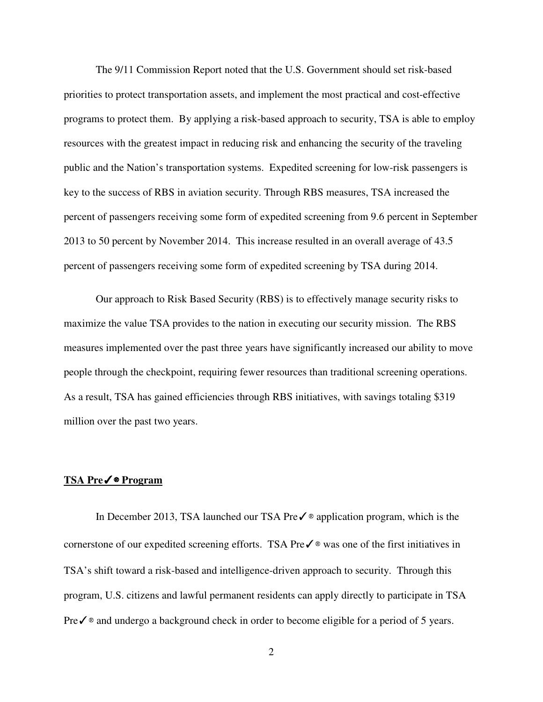The 9/11 Commission Report noted that the U.S. Government should set risk-based priorities to protect transportation assets, and implement the most practical and cost-effective programs to protect them. By applying a risk-based approach to security, TSA is able to employ resources with the greatest impact in reducing risk and enhancing the security of the traveling public and the Nation's transportation systems. Expedited screening for low-risk passengers is key to the success of RBS in aviation security. Through RBS measures, TSA increased the percent of passengers receiving some form of expedited screening from 9.6 percent in September 2013 to 50 percent by November 2014. This increase resulted in an overall average of 43.5 percent of passengers receiving some form of expedited screening by TSA during 2014.

Our approach to Risk Based Security (RBS) is to effectively manage security risks to maximize the value TSA provides to the nation in executing our security mission. The RBS measures implemented over the past three years have significantly increased our ability to move people through the checkpoint, requiring fewer resources than traditional screening operations. As a result, TSA has gained efficiencies through RBS initiatives, with savings totaling \$319 million over the past two years.

### **TSA Pre**✓® **Program**

In December 2013, TSA launched our TSA Pre✓® application program, which is the cornerstone of our expedited screening efforts. TSA Pre✓® was one of the first initiatives in TSA's shift toward a risk-based and intelligence-driven approach to security. Through this program, U.S. citizens and lawful permanent residents can apply directly to participate in TSA Preè and undergo a background check in order to become eligible for a period of 5 years.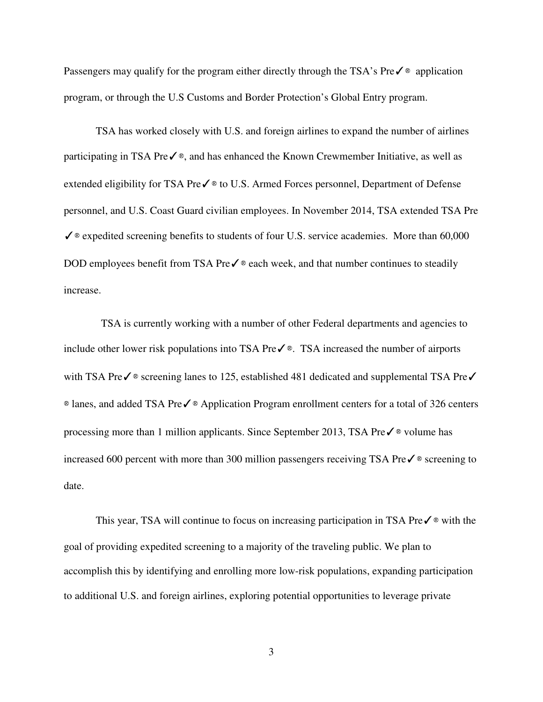Passengers may qualify for the program either directly through the TSA's Preè application program, or through the U.S Customs and Border Protection's Global Entry program.

TSA has worked closely with U.S. and foreign airlines to expand the number of airlines participating in TSA Pre $\checkmark$ <sup>®</sup>, and has enhanced the Known Crewmember Initiative, as well as extended eligibility for TSA Preè to U.S. Armed Forces personnel, Department of Defense personnel, and U.S. Coast Guard civilian employees. In November 2014, TSA extended TSA Pre  $\checkmark$   $\circ$  expedited screening benefits to students of four U.S. service academies. More than 60,000 DOD employees benefit from TSA Pre $\checkmark$  ® each week, and that number continues to steadily increase.

 TSA is currently working with a number of other Federal departments and agencies to include other lower risk populations into TSA Pre $\checkmark$ ®. TSA increased the number of airports with TSA Preè screening lanes to 125, established 481 dedicated and supplemental TSA Pre√ ® lanes, and added TSA Pre✓® Application Program enrollment centers for a total of 326 centers processing more than 1 million applicants. Since September 2013, TSA Pre✓® volume has increased 600 percent with more than 300 million passengers receiving TSA Pre✓® screening to date.

This year, TSA will continue to focus on increasing participation in TSA Preè with the goal of providing expedited screening to a majority of the traveling public. We plan to accomplish this by identifying and enrolling more low-risk populations, expanding participation to additional U.S. and foreign airlines, exploring potential opportunities to leverage private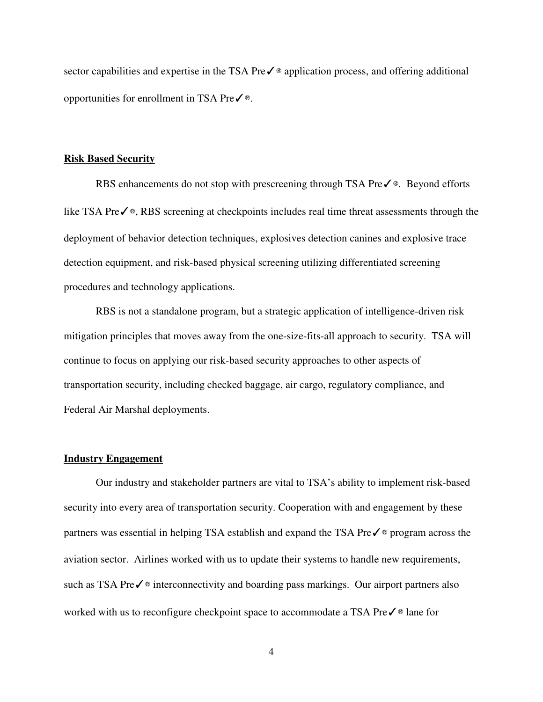sector capabilities and expertise in the TSA Preè application process, and offering additional opportunities for enrollment in TSA Pre $\checkmark$ <sup>®</sup>.

#### **Risk Based Security**

RBS enhancements do not stop with prescreening through TSA Preè. Beyond efforts like TSA Pre✓®, RBS screening at checkpoints includes real time threat assessments through the deployment of behavior detection techniques, explosives detection canines and explosive trace detection equipment, and risk-based physical screening utilizing differentiated screening procedures and technology applications.

RBS is not a standalone program, but a strategic application of intelligence-driven risk mitigation principles that moves away from the one-size-fits-all approach to security. TSA will continue to focus on applying our risk-based security approaches to other aspects of transportation security, including checked baggage, air cargo, regulatory compliance, and Federal Air Marshal deployments.

#### **Industry Engagement**

Our industry and stakeholder partners are vital to TSA's ability to implement risk-based security into every area of transportation security. Cooperation with and engagement by these partners was essential in helping TSA establish and expand the TSA Preè program across the aviation sector. Airlines worked with us to update their systems to handle new requirements, such as TSA Preè interconnectivity and boarding pass markings. Our airport partners also worked with us to reconfigure checkpoint space to accommodate a TSA Pre✓® lane for

4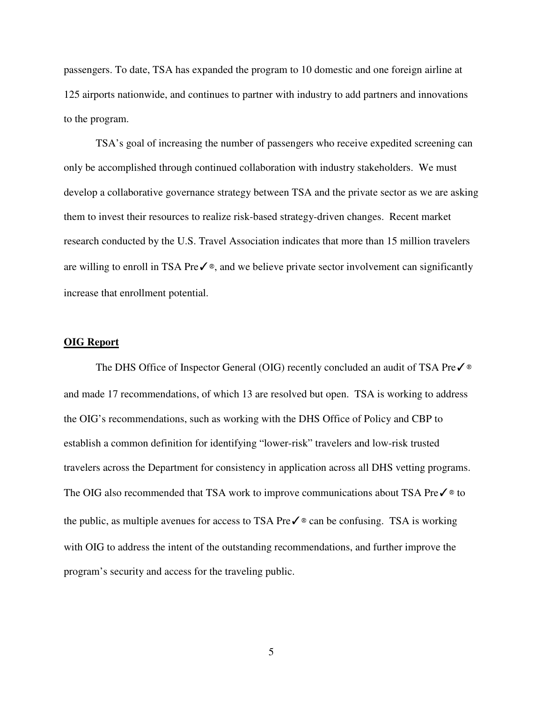passengers. To date, TSA has expanded the program to 10 domestic and one foreign airline at 125 airports nationwide, and continues to partner with industry to add partners and innovations to the program.

TSA's goal of increasing the number of passengers who receive expedited screening can only be accomplished through continued collaboration with industry stakeholders. We must develop a collaborative governance strategy between TSA and the private sector as we are asking them to invest their resources to realize risk-based strategy-driven changes. Recent market research conducted by the U.S. Travel Association indicates that more than 15 million travelers are willing to enroll in TSA Pre $\checkmark$ <sup>®</sup>, and we believe private sector involvement can significantly increase that enrollment potential.

## **OIG Report**

The DHS Office of Inspector General (OIG) recently concluded an audit of TSA Preè and made 17 recommendations, of which 13 are resolved but open. TSA is working to address the OIG's recommendations, such as working with the DHS Office of Policy and CBP to establish a common definition for identifying "lower-risk" travelers and low-risk trusted travelers across the Department for consistency in application across all DHS vetting programs. The OIG also recommended that TSA work to improve communications about TSA Preè to the public, as multiple avenues for access to TSA Pre $\checkmark$   $\circ$  can be confusing. TSA is working with OIG to address the intent of the outstanding recommendations, and further improve the program's security and access for the traveling public.